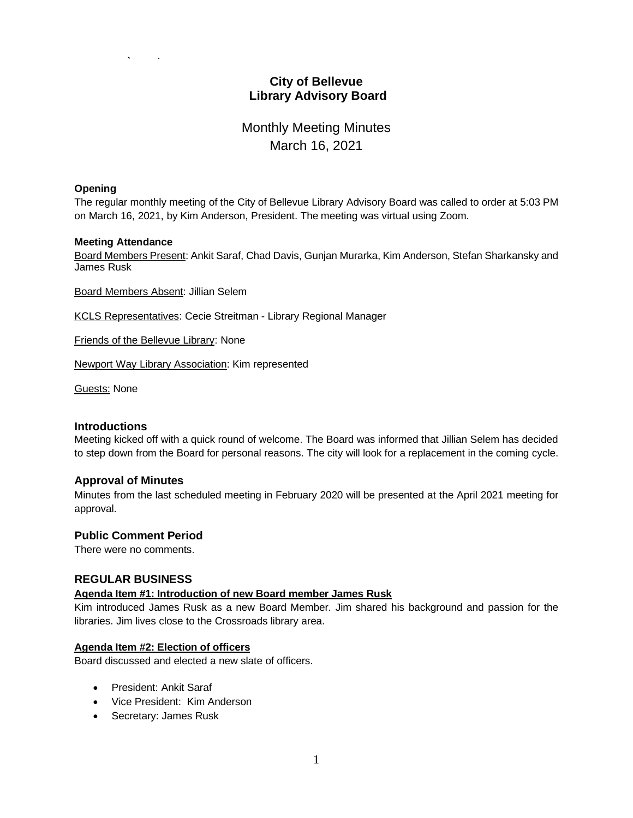# **City of Bellevue Library Advisory Board**

# Monthly Meeting Minutes March 16, 2021

#### **Opening**

The regular monthly meeting of the City of Bellevue Library Advisory Board was called to order at 5:03 PM on March 16, 2021, by Kim Anderson, President. The meeting was virtual using Zoom.

#### **Meeting Attendance**

Board Members Present: Ankit Saraf, Chad Davis, Gunjan Murarka, Kim Anderson, Stefan Sharkansky and James Rusk

Board Members Absent: Jillian Selem

KCLS Representatives: Cecie Streitman - Library Regional Manager

Friends of the Bellevue Library: None

Newport Way Library Association: Kim represented

Guests: None

#### **Introductions**

Meeting kicked off with a quick round of welcome. The Board was informed that Jillian Selem has decided to step down from the Board for personal reasons. The city will look for a replacement in the coming cycle.

#### **Approval of Minutes**

Minutes from the last scheduled meeting in February 2020 will be presented at the April 2021 meeting for approval.

#### **Public Comment Period**

There were no comments.

#### **REGULAR BUSINESS**

# **Agenda Item #1: Introduction of new Board member James Rusk**

Kim introduced James Rusk as a new Board Member. Jim shared his background and passion for the libraries. Jim lives close to the Crossroads library area.

#### **Agenda Item #2: Election of officers**

Board discussed and elected a new slate of officers.

- President: Ankit Saraf
- Vice President: Kim Anderson
- Secretary: James Rusk